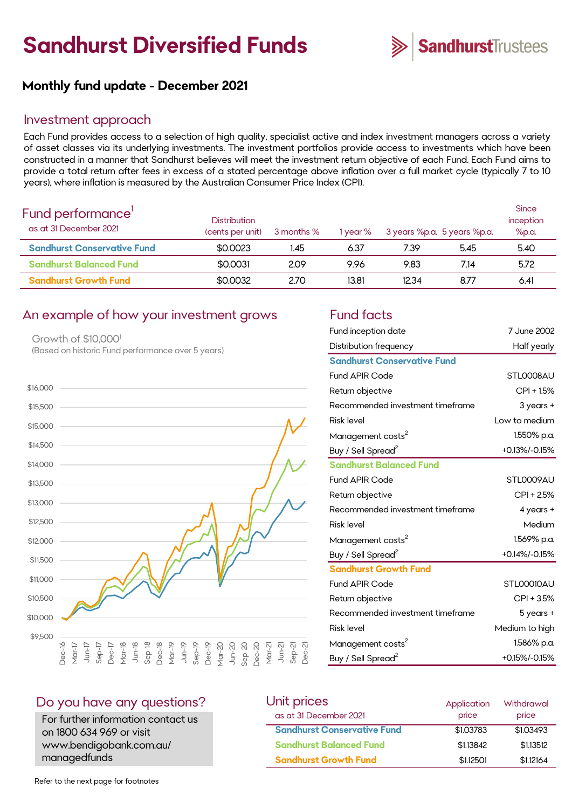# **Sandhurst Diversified Funds**



# **Monthly fund update - December 2021**

#### Investment approach

Each Fund provides access to a selection of high quality, specialist active and index investment managers across a variety of asset classes via its underlying investments. The investment portfolios provide access to investments which have been constructed in a manner that Sandhurst believes will meet the investment return objective of each Fund. Each Fund aims to provide a total return after fees in excess of a stated percentage above inflation over a full market cycle (typically 7 to 10 years), where inflation is measured by the Australian Consumer Price Index (CPI).

| Fund performance'<br>as at 31 December 2021 | <b>Distribution</b><br>(cents per unit) | 3 months % | 1 year % |       | 3 years %p.a. 5 years %p.a. | <b>Since</b><br>inception<br>%p.a. |
|---------------------------------------------|-----------------------------------------|------------|----------|-------|-----------------------------|------------------------------------|
| <b>Sandhurst Conservative Fund</b>          | \$0,0023                                | 1.45       | 6.37     | 7.39  | 5.45                        | 5.40                               |
| <b>Sandhurst Balanced Fund</b>              | \$0,0031                                | 2.09       | 9.96     | 9.83  | 7.14                        | 5.72                               |
| <b>Sandhurst Growth Fund</b>                | \$0,0032                                | 2.70       | 13.81    | 12.34 | 8.77                        | 6.41                               |

#### An example of how your investment grows Fund facts

Growth of \$10,000<sup>1</sup> (Based on historic Fund performance over 5 years)



| Fund inception date                | 7 June 2002      |
|------------------------------------|------------------|
|                                    |                  |
| Distribution frequency             | Half yearly      |
| <b>Sandhurst Conservative Fund</b> |                  |
| <b>Fund APIR Code</b>              | STLOOO8AU        |
| Return objective                   | $CPI + 1.5%$     |
| Recommended investment timeframe   | $3$ years $+$    |
| <b>Risk level</b>                  | Low to medium    |
| Management costs <sup>2</sup>      | 1.550% p.a.      |
| Buy / Sell Spread <sup>2</sup>     | $+0.13\%/0.15\%$ |
| <b>Sandhurst Balanced Fund</b>     |                  |
| <b>Fund APIR Code</b>              | STL0009AU        |
| Return objective                   | $CPI + 2.5%$     |
| Recommended investment timeframe   | 4 years +        |
| <b>Risk level</b>                  | Medium           |
| Management costs <sup>2</sup>      | 1.569% p.a.      |
| Buy / Sell Spread <sup>2</sup>     | +0.14%/-0.15%    |
| <b>Sandhurst Growth Fund</b>       |                  |
| <b>Fund APIR Code</b>              | STLOOO10AU       |
| Return objective                   | CPI + 3.5%       |
| Recommended investment timeframe   | 5 years +        |
| <b>Risk level</b>                  | Medium to high   |
| Management costs <sup>2</sup>      | 1.586% p.a.      |
| Buy / Sell Spread <sup>2</sup>     | +0.15%/-0.15%    |

#### Do you have any questions?

For further information contact us on 1800 634 969 or visit www.bendigobank.com.au/ managedfunds

| Unit prices                        | Application | Withdrawal |
|------------------------------------|-------------|------------|
| as at 31 December 2021             | price       | price      |
| <b>Sandhurst Conservative Fund</b> | \$1.03783   | \$1,03493  |
| <b>Sandhurst Balanced Fund</b>     | \$1,13842   | \$1,13512  |
| <b>Sandhurst Growth Fund</b>       | \$1,12501   | \$1.12164  |